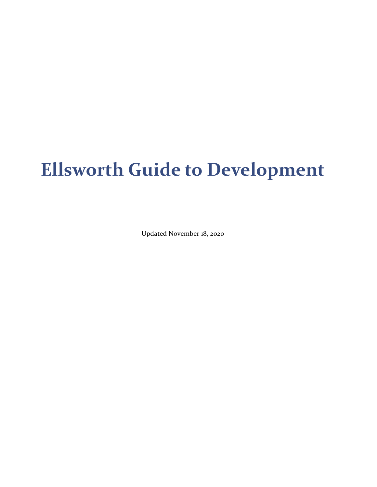# **Ellsworth Guide to Development**

Updated November 18, 2020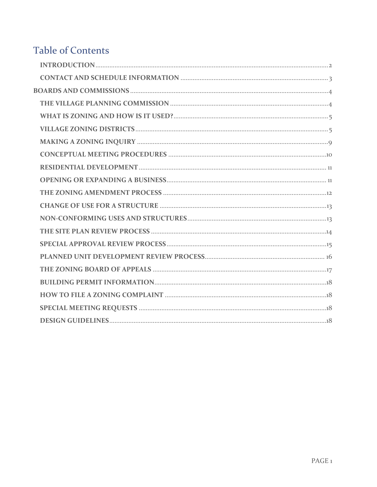## **Table of Contents**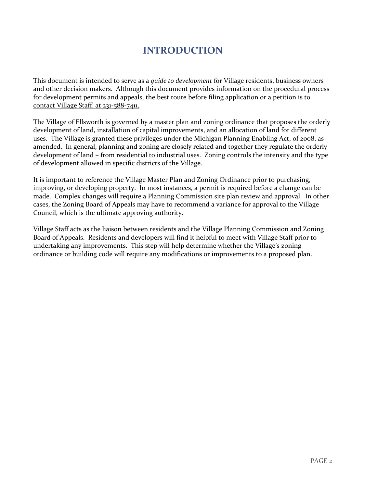#### **INTRODUCTION**

<span id="page-2-0"></span>This document is intended to serve as a *guide to development* for Village residents, business owners and other decision makers. Although this document provides information on the procedural process for development permits and appeals, the best route before filing application or a petition is to contact Village Staff, at 231-588-7411.

The Village of Ellsworth is governed by a master plan and zoning ordinance that proposes the orderly development of land, installation of capital improvements, and an allocation of land for different uses. The Village is granted these privileges under the Michigan Planning Enabling Act, of 2008, as amended. In general, planning and zoning are closely related and together they regulate the orderly development of land – from residential to industrial uses. Zoning controls the intensity and the type of development allowed in specific districts of the Village.

It is important to reference the Village Master Plan and Zoning Ordinance prior to purchasing, improving, or developing property. In most instances, a permit is required before a change can be made. Complex changes will require a Planning Commission site plan review and approval. In other cases, the Zoning Board of Appeals may have to recommend a variance for approval to the Village Council, which is the ultimate approving authority.

Village Staff acts as the liaison between residents and the Village Planning Commission and Zoning Board of Appeals. Residents and developers will find it helpful to meet with Village Staff prior to undertaking any improvements. This step will help determine whether the Village's zoning ordinance or building code will require any modifications or improvements to a proposed plan.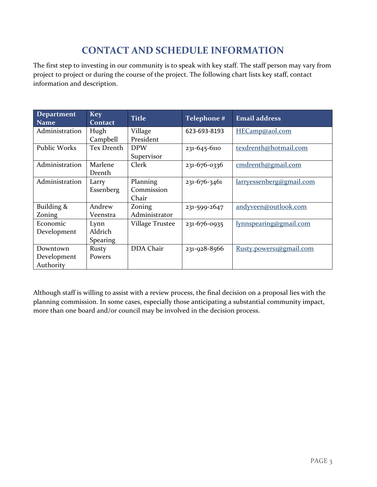## **CONTACT AND SCHEDULE INFORMATION**

<span id="page-3-0"></span>The first step to investing in our community is to speak with key staff. The staff person may vary from project to project or during the course of the project. The following chart lists key staff, contact information and description.

| <b>Department</b><br><b>Name</b> | <b>Key</b><br><b>Contact</b> | <b>Title</b>           | Telephone #  | <b>Email address</b>     |
|----------------------------------|------------------------------|------------------------|--------------|--------------------------|
| Administration                   | Hugh                         | Village                | 623-693-8193 | HECamp@aol.com           |
|                                  | Campbell                     | President              |              |                          |
| <b>Public Works</b>              | Tex Drenth                   | <b>DPW</b>             | 231-645-6110 | texdrenth@hotmail.com    |
|                                  |                              | Supervisor             |              |                          |
| Administration                   | Marlene                      | Clerk                  | 231-676-0336 | cmdrenth@gmail.com       |
|                                  | Drenth                       |                        |              |                          |
| Administration                   | Larry                        | Planning               | 231-676-3461 | larryessenberg@gmail.com |
|                                  | Essenberg                    | Commission             |              |                          |
|                                  |                              | Chair                  |              |                          |
| Building &                       | Andrew                       | Zoning                 | 231-599-2647 | andyveen@outlook.com     |
| Zoning                           | Veenstra                     | Administrator          |              |                          |
| Economic                         | Lynn                         | <b>Village Trustee</b> | 231-676-0935 | lynnspearing@gmail.com   |
| Development                      | Aldrich                      |                        |              |                          |
|                                  | <b>Spearing</b>              |                        |              |                          |
| Downtown                         | Rusty                        | DDA Chair              | 231-928-8566 | Rusty.powers1@gmail.com  |
| Development                      | Powers                       |                        |              |                          |
| Authority                        |                              |                        |              |                          |

Although staff is willing to assist with a review process, the final decision on a proposal lies with the planning commission. In some cases, especially those anticipating a substantial community impact, more than one board and/or council may be involved in the decision process.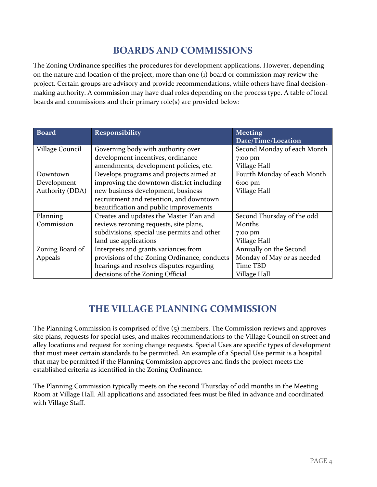#### **BOARDS AND COMMISSIONS**

<span id="page-4-0"></span>The Zoning Ordinance specifies the procedures for development applications. However, depending on the nature and location of the project, more than one (1) board or commission may review the project. Certain groups are advisory and provide recommendations, while others have final decisionmaking authority. A commission may have dual roles depending on the process type. A table of local boards and commissions and their primary role(s) are provided below:

| <b>Board</b>                                            | <b>Responsibility</b>                        | <b>Meeting</b>              |
|---------------------------------------------------------|----------------------------------------------|-----------------------------|
|                                                         |                                              | Date/Time/Location          |
| Village Council                                         | Governing body with authority over           | Second Monday of each Month |
|                                                         | development incentives, ordinance            | 7:00 pm                     |
|                                                         | amendments, development policies, etc.       | Village Hall                |
| Downtown                                                | Develops programs and projects aimed at      | Fourth Monday of each Month |
| Development                                             | improving the downtown district including    | $6:00$ pm                   |
| Authority (DDA)                                         | new business development, business           | Village Hall                |
|                                                         | recruitment and retention, and downtown      |                             |
|                                                         | beautification and public improvements       |                             |
| Planning                                                | Creates and updates the Master Plan and      | Second Thursday of the odd  |
| Commission                                              | reviews rezoning requests, site plans,       | Months                      |
|                                                         | subdivisions, special use permits and other  | 7:00 pm                     |
|                                                         | land use applications                        | Village Hall                |
| Interprets and grants variances from<br>Zoning Board of |                                              | Annually on the Second      |
| Appeals                                                 | provisions of the Zoning Ordinance, conducts | Monday of May or as needed  |
|                                                         | hearings and resolves disputes regarding     | Time TBD                    |
|                                                         | decisions of the Zoning Official             | Village Hall                |

## **THE VILLAGE PLANNING COMMISSION**

<span id="page-4-1"></span>The Planning Commission is comprised of five (5) members. The Commission reviews and approves site plans, requests for special uses, and makes recommendations to the Village Council on street and alley locations and request for zoning change requests. Special Uses are specific types of development that must meet certain standards to be permitted. An example of a Special Use permit is a hospital that may be permitted if the Planning Commission approves and finds the project meets the established criteria as identified in the Zoning Ordinance.

The Planning Commission typically meets on the second Thursday of odd months in the Meeting Room at Village Hall. All applications and associated fees must be filed in advance and coordinated with Village Staff.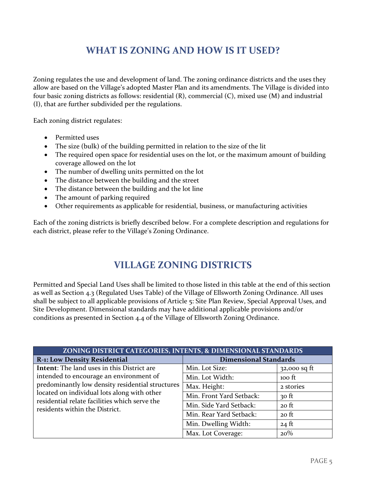### **WHAT IS ZONING AND HOW IS IT USED?**

<span id="page-5-0"></span>Zoning regulates the use and development of land. The zoning ordinance districts and the uses they allow are based on the Village's adopted Master Plan and its amendments. The Village is divided into four basic zoning districts as follows: residential (R), commercial (C), mixed use (M) and industrial (I), that are further subdivided per the regulations.

Each zoning district regulates:

- Permitted uses
- The size (bulk) of the building permitted in relation to the size of the lit
- The required open space for residential uses on the lot, or the maximum amount of building coverage allowed on the lot
- The number of dwelling units permitted on the lot
- The distance between the building and the street
- The distance between the building and the lot line
- The amount of parking required
- Other requirements as applicable for residential, business, or manufacturing activities

Each of the zoning districts is briefly described below. For a complete description and regulations for each district, please refer to the Village's Zoning Ordinance.

#### **VILLAGE ZONING DISTRICTS**

<span id="page-5-1"></span>Permitted and Special Land Uses shall be limited to those listed in this table at the end of this section as well as Section 4.3 (Regulated Uses Table) of the Village of Ellsworth Zoning Ordinance. All uses shall be subject to all applicable provisions of Article 5: Site Plan Review, Special Approval Uses, and Site Development. Dimensional standards may have additional applicable provisions and/or conditions as presented in Section 4.4 of the Village of Ellsworth Zoning Ordinance.

| ZONING DISTRICT CATEGORIES, INTENTS, & DIMENSIONAL STANDARDS                                                                                                                                                                  |                              |                 |  |  |
|-------------------------------------------------------------------------------------------------------------------------------------------------------------------------------------------------------------------------------|------------------------------|-----------------|--|--|
| <b>R-1: Low Density Residential</b>                                                                                                                                                                                           | <b>Dimensional Standards</b> |                 |  |  |
| Intent: The land uses in this District are                                                                                                                                                                                    | Min. Lot Size:               | $32,000$ sq ft  |  |  |
| intended to encourage an environment of<br>predominantly low density residential structures<br>located on individual lots along with other<br>residential relate facilities which serve the<br>residents within the District. | Min. Lot Width:              | $100$ ft        |  |  |
|                                                                                                                                                                                                                               | Max. Height:                 | 2 stories       |  |  |
|                                                                                                                                                                                                                               | Min. Front Yard Setback:     | $30$ ft         |  |  |
|                                                                                                                                                                                                                               | Min. Side Yard Setback:      | $20$ ft         |  |  |
|                                                                                                                                                                                                                               | Min. Rear Yard Setback:      | $20$ ft         |  |  |
|                                                                                                                                                                                                                               | Min. Dwelling Width:         | $24 \text{ ft}$ |  |  |
|                                                                                                                                                                                                                               | Max. Lot Coverage:           | 20%             |  |  |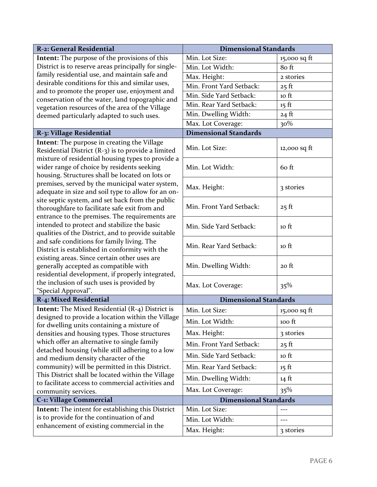| R-2: General Residential                                                                                                                            | <b>Dimensional Standards</b> |                  |  |  |  |
|-----------------------------------------------------------------------------------------------------------------------------------------------------|------------------------------|------------------|--|--|--|
| <b>Intent:</b> The purpose of the provisions of this                                                                                                | Min. Lot Size:               | $15,000$ sq ft   |  |  |  |
| District is to reserve areas principally for single-                                                                                                | Min. Lot Width:              | 8o ft            |  |  |  |
| family residential use, and maintain safe and                                                                                                       | Max. Height:                 | 2 stories        |  |  |  |
| desirable conditions for this and similar uses,                                                                                                     | Min. Front Yard Setback:     | $25$ ft          |  |  |  |
| and to promote the proper use, enjoyment and<br>conservation of the water, land topographic and                                                     | Min. Side Yard Setback:      | 10 ft            |  |  |  |
| vegetation resources of the area of the Village                                                                                                     | Min. Rear Yard Setback:      | $15 \text{ ft}$  |  |  |  |
| deemed particularly adapted to such uses.                                                                                                           | Min. Dwelling Width:         | $24$ ft          |  |  |  |
|                                                                                                                                                     | Max. Lot Coverage:           | 30%              |  |  |  |
| R-3: Village Residential                                                                                                                            | <b>Dimensional Standards</b> |                  |  |  |  |
| Intent: The purpose in creating the Village<br>Residential District $(R-3)$ is to provide a limited                                                 | Min. Lot Size:               | $12,000$ sq ft   |  |  |  |
| mixture of residential housing types to provide a<br>wider range of choice by residents seeking<br>housing. Structures shall be located on lots or  | Min. Lot Width:              | 60 ft            |  |  |  |
| premises, served by the municipal water system,<br>adequate in size and soil type to allow for an on-                                               | Max. Height:                 | 3 stories        |  |  |  |
| site septic system, and set back from the public<br>thoroughfare to facilitate safe exit from and<br>entrance to the premises. The requirements are | Min. Front Yard Setback:     | $25$ ft          |  |  |  |
| intended to protect and stabilize the basic<br>qualities of the District, and to provide suitable                                                   | Min. Side Yard Setback:      | 10 <sub>ft</sub> |  |  |  |
| and safe conditions for family living. The<br>District is established in conformity with the                                                        | Min. Rear Yard Setback:      | 10 <sub>ft</sub> |  |  |  |
| existing areas. Since certain other uses are<br>generally accepted as compatible with<br>residential development, if properly integrated,           | Min. Dwelling Width:         | $20$ ft          |  |  |  |
| the inclusion of such uses is provided by<br>"Special Approval".                                                                                    | Max. Lot Coverage:           | $35\%$           |  |  |  |
| R-4: Mixed Residential                                                                                                                              | <b>Dimensional Standards</b> |                  |  |  |  |
| Intent: The Mixed Residential (R-4) District is                                                                                                     | Min. Lot Size:               | $15,000$ sq ft   |  |  |  |
| designed to provide a location within the Village<br>for dwelling units containing a mixture of                                                     | Min. Lot Width:              | 100 ft           |  |  |  |
| densities and housing types. Those structures                                                                                                       | Max. Height:                 | 3 stories        |  |  |  |
| which offer an alternative to single family                                                                                                         | Min. Front Yard Setback:     | $25 \text{ ft}$  |  |  |  |
| detached housing (while still adhering to a low                                                                                                     | Min. Side Yard Setback:      | 10 ft            |  |  |  |
| and medium density character of the<br>community) will be permitted in this District.                                                               | Min. Rear Yard Setback:      | $15 \text{ ft}$  |  |  |  |
| This District shall be located within the Village                                                                                                   |                              |                  |  |  |  |
| to facilitate access to commercial activities and                                                                                                   | Min. Dwelling Width:         | $14 \text{ ft}$  |  |  |  |
| community services.                                                                                                                                 | Max. Lot Coverage:           | 35%              |  |  |  |
| <b>C-1: Village Commercial</b>                                                                                                                      | <b>Dimensional Standards</b> |                  |  |  |  |
| <b>Intent:</b> The intent for establishing this District                                                                                            | Min. Lot Size:               |                  |  |  |  |
| is to provide for the continuation of and                                                                                                           | Min. Lot Width:              | ---              |  |  |  |
| enhancement of existing commercial in the                                                                                                           | Max. Height:                 | 3 stories        |  |  |  |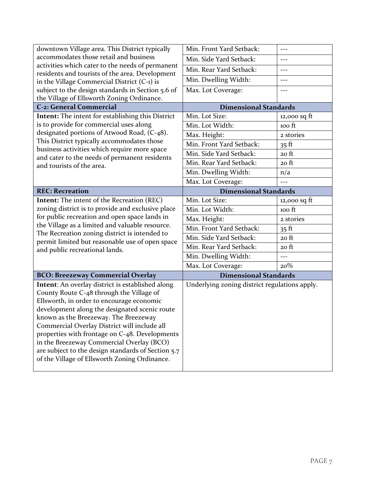| downtown Village area. This District typically                                                                                                                                                                                                                                                                                                                                                                                           | Min. Front Yard Setback:                      | $---$          |  |  |
|------------------------------------------------------------------------------------------------------------------------------------------------------------------------------------------------------------------------------------------------------------------------------------------------------------------------------------------------------------------------------------------------------------------------------------------|-----------------------------------------------|----------------|--|--|
| accommodates those retail and business                                                                                                                                                                                                                                                                                                                                                                                                   | Min. Side Yard Setback:                       | $---$          |  |  |
| activities which cater to the needs of permanent                                                                                                                                                                                                                                                                                                                                                                                         | Min. Rear Yard Setback:                       | $---$          |  |  |
| residents and tourists of the area. Development<br>in the Village Commercial District (C-1) is                                                                                                                                                                                                                                                                                                                                           | Min. Dwelling Width:                          |                |  |  |
| subject to the design standards in Section 5.6 of                                                                                                                                                                                                                                                                                                                                                                                        | Max. Lot Coverage:                            | $---$          |  |  |
| the Village of Ellsworth Zoning Ordinance.                                                                                                                                                                                                                                                                                                                                                                                               |                                               |                |  |  |
| <b>C-2: General Commercial</b>                                                                                                                                                                                                                                                                                                                                                                                                           | <b>Dimensional Standards</b>                  |                |  |  |
| Intent: The intent for establishing this District                                                                                                                                                                                                                                                                                                                                                                                        | Min. Lot Size:                                | $12,000$ sq ft |  |  |
| is to provide for commercial uses along                                                                                                                                                                                                                                                                                                                                                                                                  | Min. Lot Width:                               | 100 ft         |  |  |
| designated portions of Atwood Road, (C-48).                                                                                                                                                                                                                                                                                                                                                                                              | Max. Height:                                  | 2 stories      |  |  |
| This District typically accommodates those                                                                                                                                                                                                                                                                                                                                                                                               | Min. Front Yard Setback:                      | $35$ ft        |  |  |
| business activities which require more space<br>and cater to the needs of permanent residents                                                                                                                                                                                                                                                                                                                                            | Min. Side Yard Setback:                       | $20$ ft        |  |  |
| and tourists of the area.                                                                                                                                                                                                                                                                                                                                                                                                                | Min. Rear Yard Setback:                       | 20 ft          |  |  |
|                                                                                                                                                                                                                                                                                                                                                                                                                                          | Min. Dwelling Width:                          | n/a            |  |  |
|                                                                                                                                                                                                                                                                                                                                                                                                                                          | Max. Lot Coverage:                            | $\overline{a}$ |  |  |
| <b>REC: Recreation</b>                                                                                                                                                                                                                                                                                                                                                                                                                   | <b>Dimensional Standards</b>                  |                |  |  |
| Intent: The intent of the Recreation (REC)                                                                                                                                                                                                                                                                                                                                                                                               | Min. Lot Size:                                | $12,000$ sq ft |  |  |
| zoning district is to provide and exclusive place                                                                                                                                                                                                                                                                                                                                                                                        | Min. Lot Width:                               | 100 ft         |  |  |
| for public recreation and open space lands in                                                                                                                                                                                                                                                                                                                                                                                            | Max. Height:                                  | 2 stories      |  |  |
| the Village as a limited and valuable resource.                                                                                                                                                                                                                                                                                                                                                                                          | Min. Front Yard Setback:                      | $35$ ft        |  |  |
| The Recreation zoning district is intended to<br>permit limited but reasonable use of open space                                                                                                                                                                                                                                                                                                                                         | Min. Side Yard Setback:                       | 20 ft          |  |  |
| and public recreational lands.                                                                                                                                                                                                                                                                                                                                                                                                           | Min. Rear Yard Setback:                       | 20 ft          |  |  |
|                                                                                                                                                                                                                                                                                                                                                                                                                                          | Min. Dwelling Width:                          | $---$          |  |  |
|                                                                                                                                                                                                                                                                                                                                                                                                                                          | Max. Lot Coverage:                            | 20%            |  |  |
| <b>BCO: Breezeway Commercial Overlay</b>                                                                                                                                                                                                                                                                                                                                                                                                 | <b>Dimensional Standards</b>                  |                |  |  |
| Intent: An overlay district is established along<br>County Route C-48 through the Village of<br>Ellsworth, in order to encourage economic<br>development along the designated scenic route<br>known as the Breezeway. The Breezeway<br>Commercial Overlay District will include all<br>properties with frontage on C-48. Developments<br>in the Breezeway Commercial Overlay (BCO)<br>are subject to the design standards of Section 5.7 | Underlying zoning district regulations apply. |                |  |  |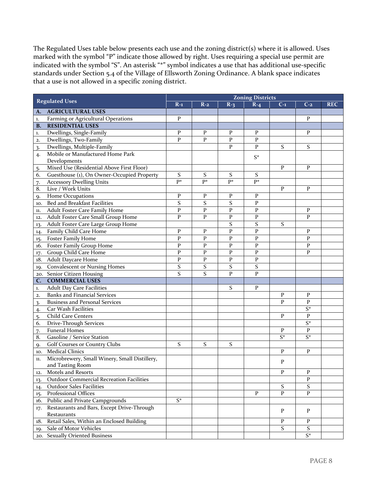The Regulated Uses table below presents each use and the zoning district(s) where it is allowed. Uses marked with the symbol "P" indicate those allowed by right. Uses requiring a special use permit are indicated with the symbol "S". An asterisk "\*" symbol indicates a use that has additional use-specific standards under Section 5.4 of the Village of Ellsworth Zoning Ordinance. A blank space indicates that a use is not allowed in a specific zoning district.

| <b>Regulated Uses</b> |                                                 | <b>Zoning Districts</b> |              |              |              |           |              |            |
|-----------------------|-------------------------------------------------|-------------------------|--------------|--------------|--------------|-----------|--------------|------------|
|                       |                                                 | $R-1$                   | $R-2$        | $R-3$        | $R - 4$      | $C-1$     | $C-2$        | <b>REC</b> |
| A.                    | <b>AGRICULTURAL USES</b>                        |                         |              |              |              |           |              |            |
| 1.                    | Farming or Agricultural Operations              | P                       |              |              |              |           | P            |            |
| <b>B.</b>             | <b>RESIDENTIAL USES</b>                         |                         |              |              |              |           |              |            |
| 1.                    | Dwellings, Single-Family                        | P                       | P            | P            | P            |           | P            |            |
| 2.                    | Dwellings, Two-Family                           | P                       | P            | $\mathbf{P}$ | $\mathbf{P}$ |           |              |            |
| 3.                    | Dwellings, Multiple-Family                      |                         |              | P            | P            | S         | S            |            |
| 4.                    | Mobile or Manufactured Home Park                |                         |              |              | $S^*$        |           |              |            |
|                       | Developments                                    |                         |              |              |              |           |              |            |
| 5.                    | Mixed Use (Residential Above First Floor)       |                         |              |              |              | P         | P            |            |
| 6.                    | Guesthouse (1), On Owner-Occupied Property      | S                       | S            | S            | S            |           |              |            |
| 7.                    | <b>Accessory Dwelling Units</b>                 | p*                      | p*           | p*           | p*           |           |              |            |
| 8.                    | Live / Work Units                               |                         |              |              |              | P         | P            |            |
| 9.                    | Home Occupations                                | P                       | P            | P            | $\mathbf{P}$ |           |              |            |
| 10.                   | Bed and Breakfast Facilities                    | S                       | S            | S            | $\mathbf{P}$ |           |              |            |
| 11.                   | Adult Foster Care Family Home                   | $\mathbf P$             | $\mathbf P$  | $\mathbf{P}$ | $\mathbf{P}$ |           | P            |            |
| 12.                   | Adult Foster Care Small Group Home              | P                       | P            | $\mathbf{P}$ | $\mathbf{P}$ |           | P            |            |
| 13.                   | Adult Foster Care Large Group Home              |                         |              | S            | S            | S         |              |            |
| 14.                   | Family Child Care Home                          | P                       | P            | $\mathbf{P}$ | P            |           | $\mathbf{P}$ |            |
| 15.                   | <b>Foster Family Home</b>                       | ${\bf P}$               | $\mathbf P$  | $\mathbf P$  | $\mathbf{P}$ |           | ${\bf P}$    |            |
|                       | 16. Foster Family Group Home                    | P                       | $\mathbf{P}$ | P            | P            |           | ${\bf P}$    |            |
| 17.                   | Group Child Care Home                           | $\overline{P}$          | P            | P            | P            |           | P            |            |
|                       | 18. Adult Daycare Home                          | P                       | P            | $\mathbf P$  | P            |           |              |            |
|                       | 19. Convalescent or Nursing Homes               | S                       | S            | S            | S            |           |              |            |
|                       | 20. Senior Citizen Housing                      | S                       | S            | P            | P            |           |              |            |
| $\mathbf{C}$ .        | <b>COMMERCIAL USES</b>                          |                         |              |              |              |           |              |            |
| 1.                    | <b>Adult Day Care Facilities</b>                |                         |              | S            | P            |           |              |            |
| 2.                    | <b>Banks and Financial Services</b>             |                         |              |              |              | P         | P            |            |
| 3.                    | <b>Business and Personal Services</b>           |                         |              |              |              | P         | P            |            |
| 4.                    | Car Wash Facilities                             |                         |              |              |              |           | $S^*$        |            |
| 5.                    | <b>Child Care Centers</b>                       |                         |              |              |              | P         | P            |            |
| 6.                    | <b>Drive-Through Services</b>                   |                         |              |              |              |           | $S^*$        |            |
| 7.                    | <b>Funeral Homes</b>                            |                         |              |              |              | P         | ${\bf P}$    |            |
| 8.                    | Gasoline / Service Station                      |                         |              |              |              | $S^*$     | $S^*$        |            |
| 9.                    | Golf Courses or Country Clubs                   | S                       | S            | S            |              |           |              |            |
|                       | 10. Medical Clinics                             |                         |              |              |              | P         | P            |            |
| 11.                   | Microbrewery, Small Winery, Small Distillery,   |                         |              |              |              |           |              |            |
|                       | and Tasting Room                                |                         |              |              |              | P         |              |            |
| 12.                   | Motels and Resorts                              |                         |              |              |              | P         | P            |            |
| 13.                   | <b>Outdoor Commercial Recreation Facilities</b> |                         |              |              |              |           | P            |            |
| 14.                   | <b>Outdoor Sales Facilities</b>                 |                         |              |              |              | S         | S            |            |
| 15.                   | Professional Offices                            |                         |              |              | $\mathbf{P}$ | ${\bf P}$ | ${\bf P}$    |            |
|                       | 16. Public and Private Campgrounds              | $S^*$                   |              |              |              |           |              |            |
| 17.                   | Restaurants and Bars, Except Drive-Through      |                         |              |              |              |           |              |            |
|                       | Restaurants                                     |                         |              |              |              | P         | $\mathbf{P}$ |            |
| 18.                   | Retail Sales, Within an Enclosed Building       |                         |              |              |              | P         | P            |            |
| 19.                   | Sale of Motor Vehicles                          |                         |              |              |              | S         | S            |            |
|                       | 20. Sexually Oriented Business                  |                         |              |              |              |           | $S^*$        |            |
|                       |                                                 |                         |              |              |              |           |              |            |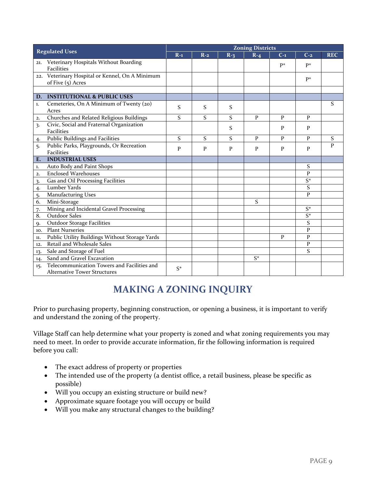| <b>Regulated Uses</b> |                                                 | <b>Zoning Districts</b> |       |       |              |       |               |              |
|-----------------------|-------------------------------------------------|-------------------------|-------|-------|--------------|-------|---------------|--------------|
|                       |                                                 | $R-1$                   | $R-2$ | $R-3$ | $R - 4$      | $C-1$ | $C-2$         | <b>REC</b>   |
|                       | 21. Veterinary Hospitals Without Boarding       |                         |       |       |              | p*    | $P^*$         |              |
|                       | <b>Facilities</b>                               |                         |       |       |              |       |               |              |
|                       | 22. Veterinary Hospital or Kennel, On A Minimum |                         |       |       |              |       | $P^*$         |              |
|                       | of Five (5) Acres                               |                         |       |       |              |       |               |              |
|                       |                                                 |                         |       |       |              |       |               |              |
|                       | D. INSTITUTIONAL & PUBLIC USES                  |                         |       |       |              |       |               |              |
| 1.                    | Cemeteries, On A Minimum of Twenty (20)         | S                       | S     | S     |              |       |               | S            |
|                       | Acres                                           |                         |       |       |              |       |               |              |
| 2.                    | Churches and Related Religious Buildings        | S                       | S     | S     | $\mathbf{P}$ | P     | P             |              |
| 3.                    | Civic, Social and Fraternal Organization        |                         |       | S     |              | P     | P             |              |
|                       | <b>Facilities</b>                               |                         |       |       |              |       |               |              |
| 4.                    | Public Buildings and Facilities                 | S                       | S     | S     | P            | P     | P             | S            |
| 5.                    | Public Parks, Playgrounds, Or Recreation        | P                       | P     | P     | P            | P     | P             | $\mathbf{p}$ |
|                       | <b>Facilities</b>                               |                         |       |       |              |       |               |              |
| E.                    | <b>INDUSTRIAL USES</b>                          |                         |       |       |              |       |               |              |
| 1.                    | Auto Body and Paint Shops                       |                         |       |       |              |       | S             |              |
| 2.                    | <b>Enclosed Warehouses</b>                      |                         |       |       |              |       | P             |              |
| 3.                    | Gas and Oil Processing Facilities               |                         |       |       |              |       | $S^*$         |              |
| 4.                    | Lumber Yards                                    |                         |       |       |              |       | ${\mathsf S}$ |              |
| 5.                    | <b>Manufacturing Uses</b>                       |                         |       |       |              |       | $\mathbf{P}$  |              |
| $\overline{6}$ .      | Mini-Storage                                    |                         |       |       | S            |       |               |              |
| 7.                    | Mining and Incidental Gravel Processing         |                         |       |       |              |       | $S^*$         |              |
| 8.                    | <b>Outdoor Sales</b>                            |                         |       |       |              |       | $S^*$         |              |
| $Q_{\star}$           | Outdoor Storage Facilities                      |                         |       |       |              |       | S             |              |
| 10.                   | <b>Plant Nurseries</b>                          |                         |       |       |              |       | $\mathbf{P}$  |              |
| 11.                   | Public Utility Buildings Without Storage Yards  |                         |       |       |              | P     | P             |              |
| 12.                   | Retail and Wholesale Sales                      |                         |       |       |              |       | P             |              |
| 13.                   | Sale and Storage of Fuel                        |                         |       |       |              |       | S             |              |
| 14.                   | Sand and Gravel Excavation                      |                         |       |       | $S^*$        |       |               |              |
| 15.                   | Telecommunication Towers and Facilities and     | $S^*$                   |       |       |              |       |               |              |
|                       | <b>Alternative Tower Structures</b>             |                         |       |       |              |       |               |              |

### **MAKING A ZONING INQUIRY**

<span id="page-9-0"></span>Prior to purchasing property, beginning construction, or opening a business, it is important to verify and understand the zoning of the property.

Village Staff can help determine what your property is zoned and what zoning requirements you may need to meet. In order to provide accurate information, fir the following information is required before you call:

- The exact address of property or properties
- The intended use of the property (a dentist office, a retail business, please be specific as possible)
- Will you occupy an existing structure or build new?
- Approximate square footage you will occupy or build
- Will you make any structural changes to the building?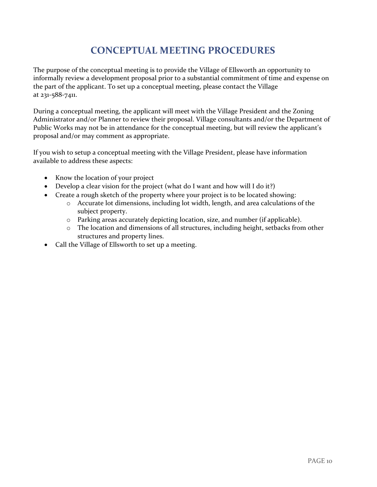## **CONCEPTUAL MEETING PROCEDURES**

<span id="page-10-0"></span>The purpose of the conceptual meeting is to provide the Village of Ellsworth an opportunity to informally review a development proposal prior to a substantial commitment of time and expense on the part of the applicant. To set up a conceptual meeting, please contact the Village at 231-588-7411.

During a conceptual meeting, the applicant will meet with the Village President and the Zoning Administrator and/or Planner to review their proposal. Village consultants and/or the Department of Public Works may not be in attendance for the conceptual meeting, but will review the applicant's proposal and/or may comment as appropriate.

If you wish to setup a conceptual meeting with the Village President, please have information available to address these aspects:

- Know the location of your project
- Develop a clear vision for the project (what do I want and how will I do it?)
- Create a rough sketch of the property where your project is to be located showing:
	- o Accurate lot dimensions, including lot width, length, and area calculations of the subject property.
	- o Parking areas accurately depicting location, size, and number (if applicable).
	- o The location and dimensions of all structures, including height, setbacks from other structures and property lines.
- Call the Village of Ellsworth to set up a meeting.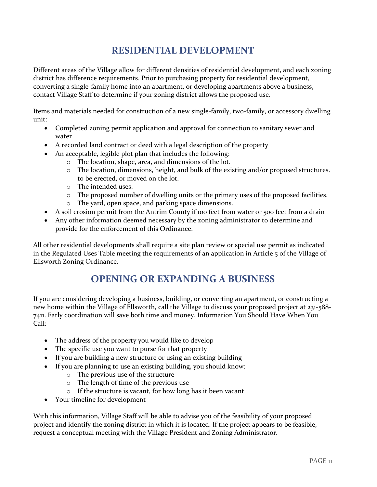## **RESIDENTIAL DEVELOPMENT**

<span id="page-11-0"></span>Different areas of the Village allow for different densities of residential development, and each zoning district has difference requirements. Prior to purchasing property for residential development, converting a single-family home into an apartment, or developing apartments above a business, contact Village Staff to determine if your zoning district allows the proposed use.

Items and materials needed for construction of a new single-family, two-family, or accessory dwelling unit:

- Completed zoning permit application and approval for connection to sanitary sewer and water
- A recorded land contract or deed with a legal description of the property
- An acceptable, legible plot plan that includes the following:
	- o The location, shape, area, and dimensions of the lot.
	- o The location, dimensions, height, and bulk of the existing and/or proposed structures. to be erected, or moved on the lot.
	- o The intended uses.
	- o The proposed number of dwelling units or the primary uses of the proposed facilities.
	- o The yard, open space, and parking space dimensions.
- A soil erosion permit from the Antrim County if 100 feet from water or 500 feet from a drain
- Any other information deemed necessary by the zoning administrator to determine and provide for the enforcement of this Ordinance.

<span id="page-11-1"></span>All other residential developments shall require a site plan review or special use permit as indicated in the Regulated Uses Table meeting the requirements of an application in Article 5 of the Village of Ellsworth Zoning Ordinance.

### **OPENING OR EXPANDING A BUSINESS**

If you are considering developing a business, building, or converting an apartment, or constructing a new home within the Village of Ellsworth, call the Village to discuss your proposed project at 231-588- 7411. Early coordination will save both time and money. Information You Should Have When You  $Call$ <sup>-</sup>

- The address of the property you would like to develop
- The specific use you want to purse for that property
- If you are building a new structure or using an existing building
- If you are planning to use an existing building, you should know:
	- o The previous use of the structure
	- o The length of time of the previous use
	- o If the structure is vacant, for how long has it been vacant
- Your timeline for development

With this information, Village Staff will be able to advise you of the feasibility of your proposed project and identify the zoning district in which it is located. If the project appears to be feasible, request a conceptual meeting with the Village President and Zoning Administrator.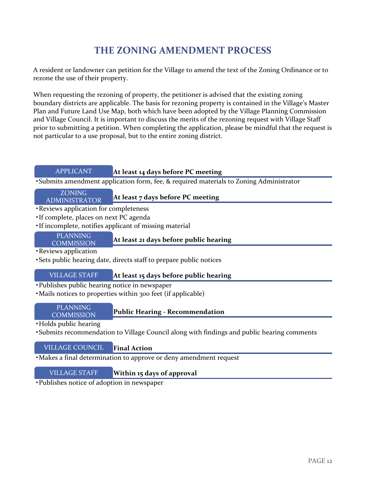## **THE ZONING AMENDMENT PROCESS**

<span id="page-12-0"></span>A resident or landowner can petition for the Village to amend the text of the Zoning Ordinance or to rezone the use of their property.

When requesting the rezoning of property, the petitioner is advised that the existing zoning boundary districts are applicable. The basis for rezoning property is contained in the Village's Master Plan and Future Land Use Map, both which have been adopted by the Village Planning Commission and Village Council. It is important to discuss the merits of the rezoning request with Village Staff prior to submitting a petition. When completing the application, please be mindful that the request is not particular to a use proposal, but to the entire zoning district.

#### APPLICANT **At least 14 days before PC meeting**

•Submits amendment application form, fee, & required materials to Zoning Administrator

#### ADMINISTRATOR

## **At least 7 days before PC meeting** ZONING

- •Reviews application for completeness
- •If complete, places on next PC agenda
- •If incomplete, notifies applicant of missing material

## **COMMISSION**

## PLANNING<br>OMMISSION **At least 21 days before public hearing**

•Reviews application

•Sets public hearing date, directs staff to prepare public notices

#### VILLAGE STAFF **At least 15 days before public hearing**

- •Publishes public hearing notice in newspaper
- •Mails notices to properties within 300 feet (if applicable)

## **COMMISSION**

#### **Public Hearing - Recommendation** PLANNING

•Holds public hearing

•Submits recommendation to Village Council along with findings and public hearing comments

#### VILLAGE COUNCIL **Final Action**

•Makes a final determination to approve or deny amendment request

#### VILLAGE STAFF **Within 15 days of approval**

•Publishes notice of adoption in newspaper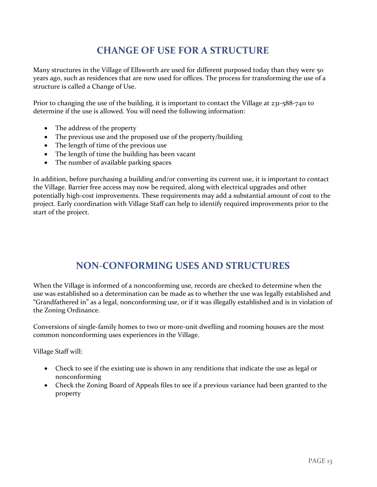## **CHANGE OF USE FOR A STRUCTURE**

<span id="page-13-0"></span>Many structures in the Village of Ellsworth are used for different purposed today than they were 50 years ago, such as residences that are now used for offices. The process for transforming the use of a structure is called a Change of Use.

Prior to changing the use of the building, it is important to contact the Village at 231-588-7411 to determine if the use is allowed. You will need the following information:

- The address of the property
- The previous use and the proposed use of the property/building
- The length of time of the previous use
- The length of time the building has been vacant
- The number of available parking spaces

In addition, before purchasing a building and/or converting its current use, it is important to contact the Village. Barrier free access may now be required, along with electrical upgrades and other potentially high-cost improvements. These requirements may add a substantial amount of cost to the project. Early coordination with Village Staff can help to identify required improvements prior to the start of the project.

#### **NON-CONFORMING USES AND STRUCTURES**

<span id="page-13-1"></span>When the Village is informed of a nonconforming use, records are checked to determine when the use was established so a determination can be made as to whether the use was legally established and "Grandfathered in" as a legal, nonconforming use, or if it was illegally established and is in violation of the Zoning Ordinance.

Conversions of single-family homes to two or more-unit dwelling and rooming houses are the most common nonconforming uses experiences in the Village.

Village Staff will:

- Check to see if the existing use is shown in any renditions that indicate the use as legal or nonconforming
- Check the Zoning Board of Appeals files to see if a previous variance had been granted to the property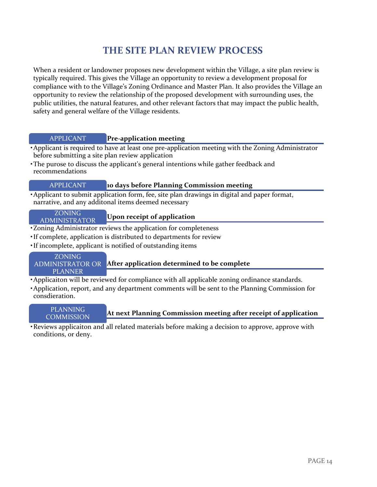## **THE SITE PLAN REVIEW PROCESS**

<span id="page-14-0"></span>When a resident or landowner proposes new development within the Village, a site plan review is typically required. This gives the Village an opportunity to review a development proposal for compliance with to the Village's Zoning Ordinance and Master Plan. It also provides the Village an opportunity to review the relationship of the proposed development with surrounding uses, the public utilities, the natural features, and other relevant factors that may impact the public health, safety and general welfare of the Village residents.

#### APPLICANT **Pre-application meeting**

- •Applicant is required to have at least one pre-application meeting with the Zoning Administrator before submitting a site plan review application
- •The purose to discuss the applicant's general intentions while gather feedback and recommendations

#### APPLICANT **10 days before Planning Commission meeting**

•Applicant to submit application form, fee, site plan drawings in digital and paper format, narrative, and any additonal items deemed necessary

#### ADMINISTRATOR

### **Upon receipt of application** ZONING

- •Zoning Administrator reviews the application for completeness
- •If complete, application is distributed to departments for review
- •If incomplete, applicant is notified of outstanding items

#### **After application determined to be complete** ZONING ADMINISTRATOR OR PLANNER

- •Applicaiton will be reviewed for compliance with all applicable zoning ordinance standards.
- •Application, report, and any department comments will be sent to the Planning Commission for consdieration.

#### **At next Planning Commission meeting after receipt of application** PLANNING **COMMISSION**

•Reviews applicaiton and all related materials before making a decision to approve, approve with conditions, or deny.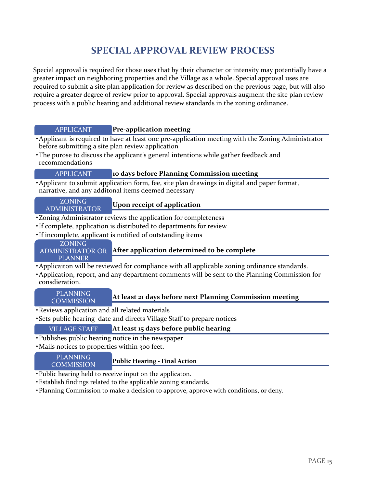## **SPECIAL APPROVAL REVIEW PROCESS**

<span id="page-15-0"></span>Special approval is required for those uses that by their character or intensity may potentially have a greater impact on neighboring properties and the Village as a whole. Special approval uses are required to submit a site plan application for review as described on the previous page, but will also require a greater degree of review prior to approval. Special approvals augment the site plan review process with a public hearing and additional review standards in the zoning ordinance.

| <b>Pre-application meeting</b><br><b>APPLICANT</b>                                                                                                  |  |
|-----------------------------------------------------------------------------------------------------------------------------------------------------|--|
| • Applicant is required to have at least one pre-application meeting with the Zoning Administrator                                                  |  |
| before submitting a site plan review application                                                                                                    |  |
| • The purose to discuss the applicant's general intentions while gather feedback and<br>recommendations                                             |  |
| 10 days before Planning Commission meeting<br><b>APPLICANT</b>                                                                                      |  |
| • Applicant to submit application form, fee, site plan drawings in digital and paper format,<br>narrative, and any additonal items deemed necessary |  |
| <b>ZONING</b>                                                                                                                                       |  |
| Upon receipt of application<br><b>ADMINISTRATOR</b>                                                                                                 |  |
| •Zoning Administrator reviews the application for completeness                                                                                      |  |
| · If complete, application is distributed to departments for review                                                                                 |  |
| • If incomplete, applicant is notified of outstanding items                                                                                         |  |
| <b>ZONING</b>                                                                                                                                       |  |
| ADMINISTRATOR OR After application determined to be complete                                                                                        |  |
| <b>PLANNER</b>                                                                                                                                      |  |
| • Applicaiton will be reviewed for compliance with all applicable zoning ordinance standards.                                                       |  |
| • Application, report, and any department comments will be sent to the Planning Commission for<br>consdieration.                                    |  |
| <b>PLANNING</b>                                                                                                                                     |  |
| At least 21 days before next Planning Commission meeting<br><b>COMMISSION</b>                                                                       |  |
| · Reviews application and all related materials                                                                                                     |  |
| · Sets public hearing date and directs Village Staff to prepare notices                                                                             |  |
| <b>VILLAGE STAFF</b><br>At least 15 days before public hearing                                                                                      |  |
| • Publishes public hearing notice in the newspaper                                                                                                  |  |
| · Mails notices to properties within 300 feet.                                                                                                      |  |
| DI ANIMINIC                                                                                                                                         |  |

| <b>PLANNING</b><br>COMMISSION. | <b>Public Hearing - Final Action</b> |
|--------------------------------|--------------------------------------|
|                                |                                      |

- •Public hearing held to receive input on the applicaton.
- •Establish findings related to the applicable zoning standards.
- •Planning Commission to make a decision to approve, approve with conditions, or deny.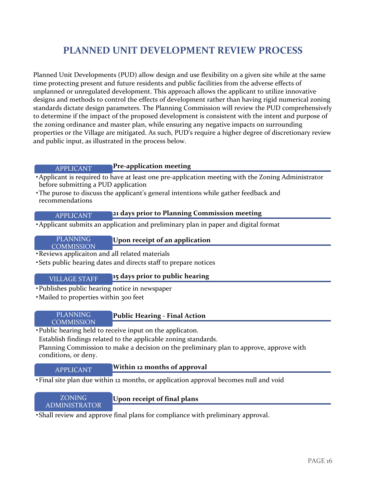### **PLANNED UNIT DEVELOPMENT REVIEW PROCESS**

<span id="page-16-0"></span>Planned Unit Developments (PUD) allow design and use flexibility on a given site while at the same time protecting present and future residents and public facilities from the adverse effects of unplanned or unregulated development. This approach allows the applicant to utilize innovative designs and methods to control the effects of development rather than having rigid numerical zoning standards dictate design parameters. The Planning Commission will review the PUD comprehensively to determine if the impact of the proposed development is consistent with the intent and purpose of the zoning ordinance and master plan, while ensuring any negative impacts on surrounding properties or the Village are mitigated. As such, PUD's require a higher degree of discretionary review and public input, as illustrated in the process below.

#### **Pre-application meeting** APPLICANT

- •Applicant is required to have at least one pre-application meeting with the Zoning Administrator before submitting a PUD application
- •The purose to discuss the applicant's general intentions while gather feedback and recommendations

#### **21 days prior to Planning Commission meeting** APPLICANT

•Applicant submits an application and preliminary plan in paper and digital format

## **COMMISSION**

#### PLANNING **Upon receipt of an application**

- •Reviews applicaiton and all related materials
- •Sets public hearing dates and directs staff to prepare notices

#### **15 days prior to public hearing** VILLAGE STAFF

- •Publishes public hearing notice in newspaper
- Mailed to properties within 300 feet

## **COMMISSION**

#### PLANNING **Public Hearing - Final Action**

•Public hearing held to receive input on the applicaton.

Establish findings related to the applicable zoning standards.

Planning Commission to make a decision on the preliminary plan to approve, approve with conditions, or deny.

#### **Within 12 months of approval** APPLICANT

•Final site plan due within 12 months, or application approval becomes null and void

#### ADMINISTRATOR

#### ZONING **Upon receipt of final plans**

•Shall review and approve final plans for compliance with preliminary approval.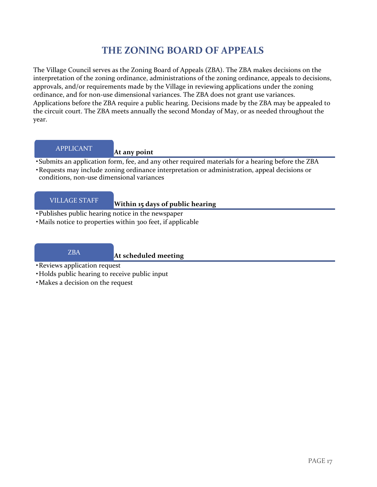### **THE ZONING BOARD OF APPEALS**

<span id="page-17-0"></span>The Village Council serves as the Zoning Board of Appeals (ZBA). The ZBA makes decisions on the interpretation of the zoning ordinance, administrations of the zoning ordinance, appeals to decisions, approvals, and/or requirements made by the Village in reviewing applications under the zoning ordinance, and for non-use dimensional variances. The ZBA does not grant use variances. Applications before the ZBA require a public hearing. Decisions made by the ZBA may be appealed to the circuit court. The ZBA meets annually the second Monday of May, or as needed throughout the year.

#### **At any point** APPLICANT

- •Submits an application form, fee, and any other required materials for a hearing before the ZBA
- •Requests may include zoning ordinance interpretation or administration, appeal decisions or conditions, non-use dimensional variances

#### **WILLAGE STAFF** Within 15 days of public hearing

- •Publishes public hearing notice in the newspaper
- •Mails notice to properties within 300 feet, if applicable

#### **At scheduled meeting** ZBA

- •Reviews application request
- •Holds public hearing to receive public input
- •Makes a decision on the request